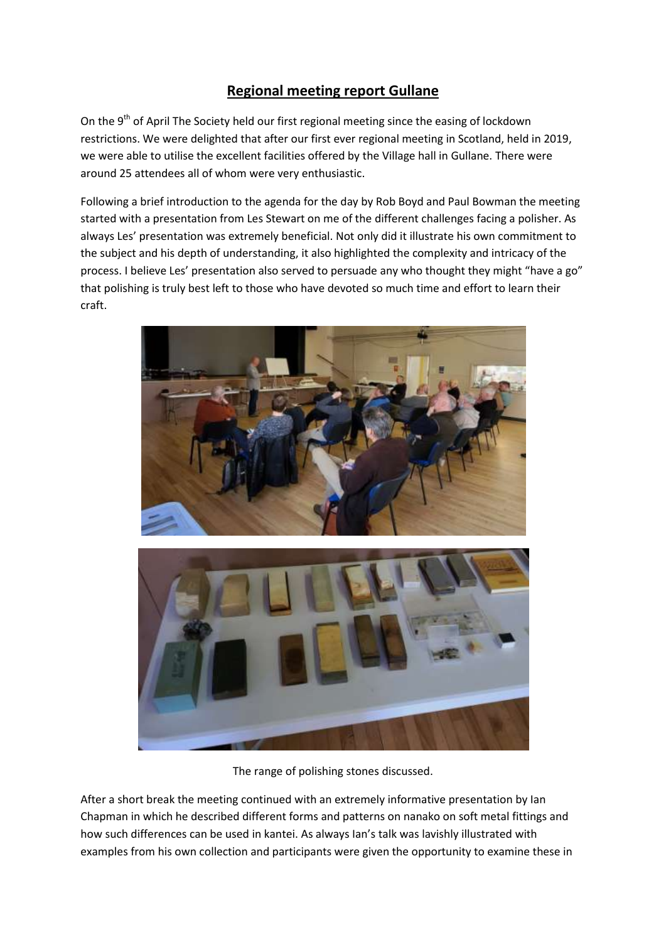## **Regional meeting report Gullane**

On the 9<sup>th</sup> of April The Society held our first regional meeting since the easing of lockdown restrictions. We were delighted that after our first ever regional meeting in Scotland, held in 2019, we were able to utilise the excellent facilities offered by the Village hall in Gullane. There were around 25 attendees all of whom were very enthusiastic.

Following a brief introduction to the agenda for the day by Rob Boyd and Paul Bowman the meeting started with a presentation from Les Stewart on me of the different challenges facing a polisher. As always Les' presentation was extremely beneficial. Not only did it illustrate his own commitment to the subject and his depth of understanding, it also highlighted the complexity and intricacy of the process. I believe Les' presentation also served to persuade any who thought they might "have a go" that polishing is truly best left to those who have devoted so much time and effort to learn their craft.



The range of polishing stones discussed.

After a short break the meeting continued with an extremely informative presentation by Ian Chapman in which he described different forms and patterns on nanako on soft metal fittings and how such differences can be used in kantei. As always Ian's talk was lavishly illustrated with examples from his own collection and participants were given the opportunity to examine these in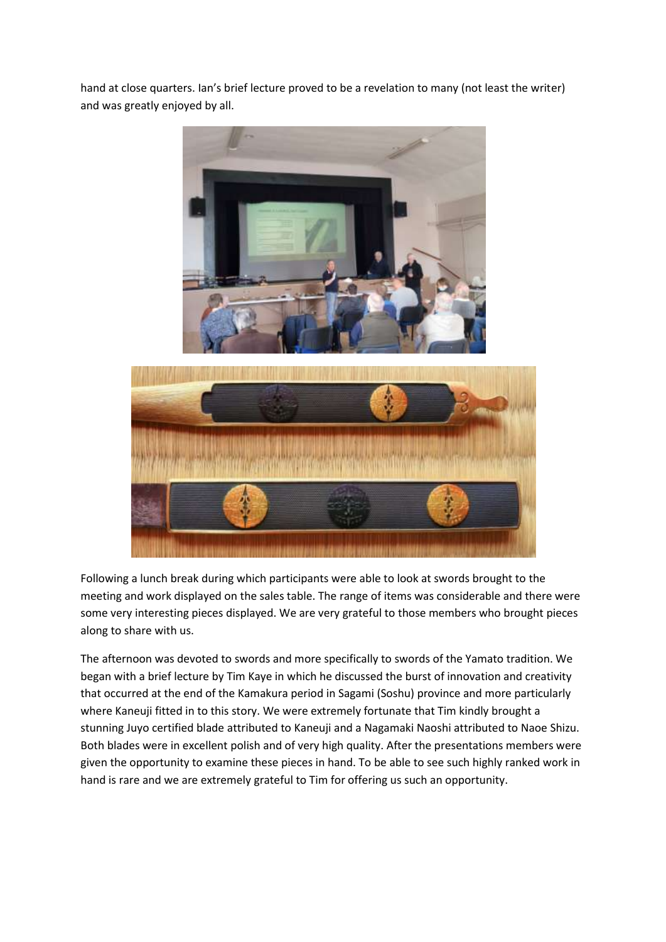hand at close quarters. Ian's brief lecture proved to be a revelation to many (not least the writer) and was greatly enjoyed by all.



Following a lunch break during which participants were able to look at swords brought to the meeting and work displayed on the sales table. The range of items was considerable and there were some very interesting pieces displayed. We are very grateful to those members who brought pieces along to share with us.

The afternoon was devoted to swords and more specifically to swords of the Yamato tradition. We began with a brief lecture by Tim Kaye in which he discussed the burst of innovation and creativity that occurred at the end of the Kamakura period in Sagami (Soshu) province and more particularly where Kaneuji fitted in to this story. We were extremely fortunate that Tim kindly brought a stunning Juyo certified blade attributed to Kaneuji and a Nagamaki Naoshi attributed to Naoe Shizu. Both blades were in excellent polish and of very high quality. After the presentations members were given the opportunity to examine these pieces in hand. To be able to see such highly ranked work in hand is rare and we are extremely grateful to Tim for offering us such an opportunity.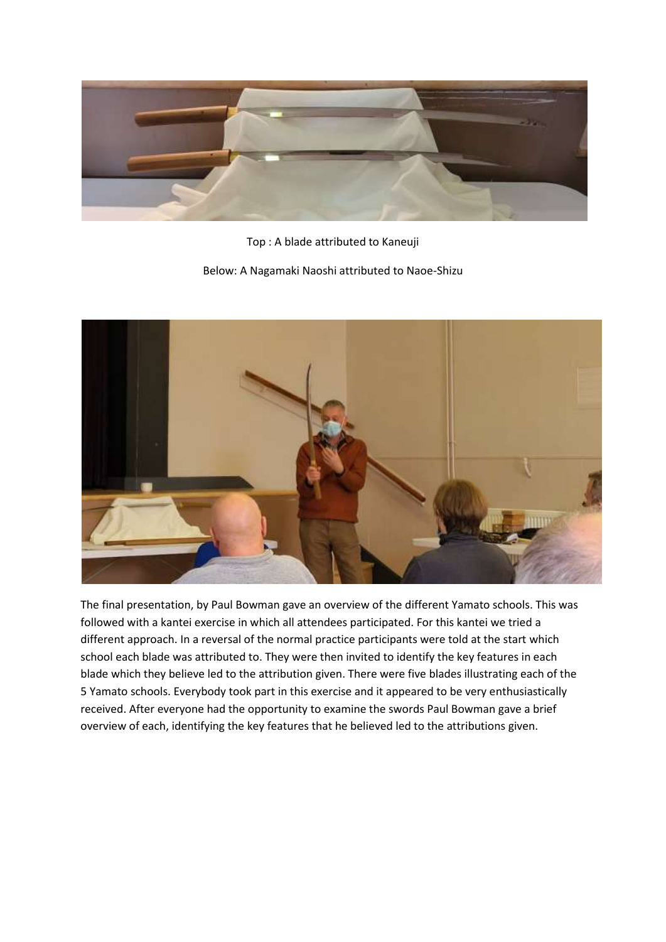

Top : A blade attributed to Kaneuji

Below: A Nagamaki Naoshi attributed to Naoe-Shizu



The final presentation, by Paul Bowman gave an overview of the different Yamato schools. This was followed with a kantei exercise in which all attendees participated. For this kantei we tried a different approach. In a reversal of the normal practice participants were told at the start which school each blade was attributed to. They were then invited to identify the key features in each blade which they believe led to the attribution given. There were five blades illustrating each of the 5 Yamato schools. Everybody took part in this exercise and it appeared to be very enthusiastically received. After everyone had the opportunity to examine the swords Paul Bowman gave a brief overview of each, identifying the key features that he believed led to the attributions given.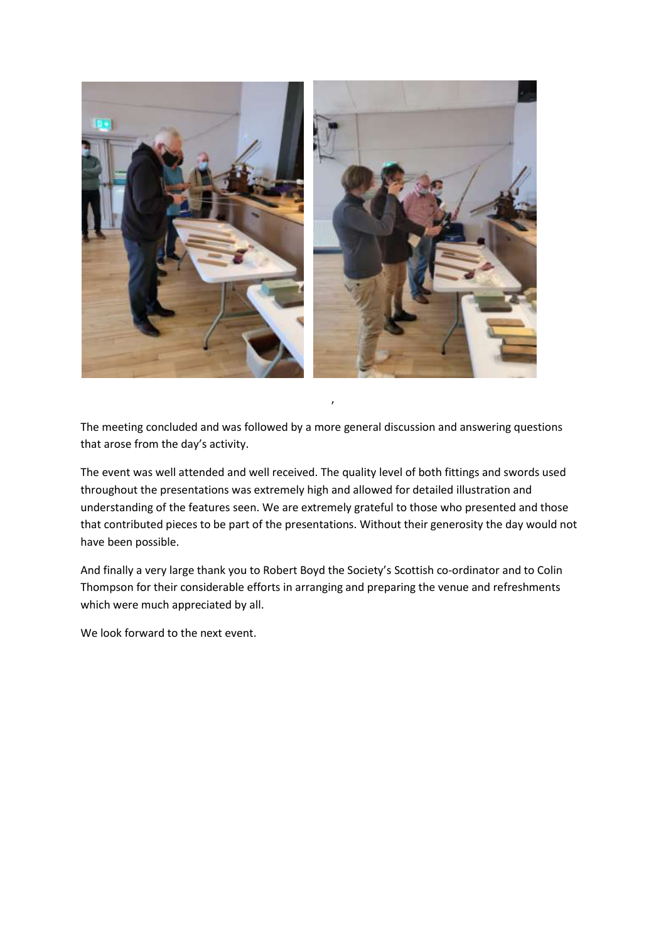

The meeting concluded and was followed by a more general discussion and answering questions that arose from the day's activity.

The event was well attended and well received. The quality level of both fittings and swords used throughout the presentations was extremely high and allowed for detailed illustration and understanding of the features seen. We are extremely grateful to those who presented and those that contributed pieces to be part of the presentations. Without their generosity the day would not have been possible.

And finally a very large thank you to Robert Boyd the Society's Scottish co-ordinator and to Colin Thompson for their considerable efforts in arranging and preparing the venue and refreshments which were much appreciated by all.

We look forward to the next event.